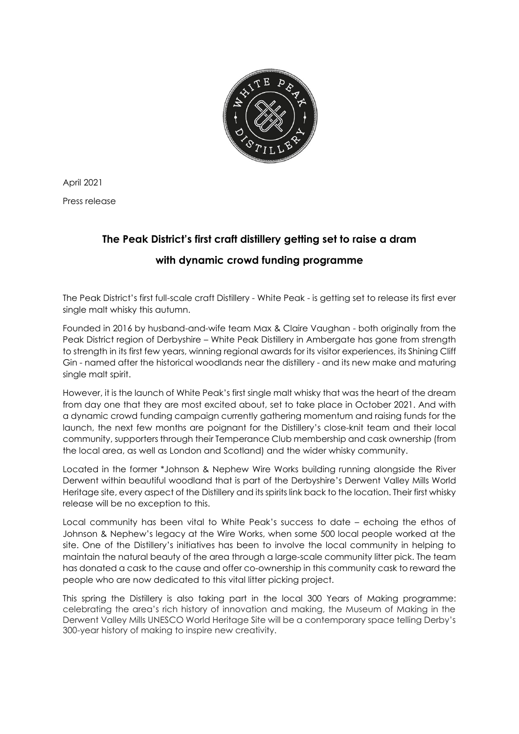

April 2021

Press release

## **The Peak District's first craft distillery getting set to raise a dram**

## **with dynamic crowd funding programme**

The Peak District's first full-scale craft Distillery - White Peak - is getting set to release its first ever single malt whisky this autumn.

Founded in 2016 by husband-and-wife team Max & Claire Vaughan - both originally from the Peak District region of Derbyshire – White Peak Distillery in Ambergate has gone from strength to strength in its first few years, winning regional awards for its visitor experiences, its Shining Cliff Gin - named after the historical woodlands near the distillery - and its new make and maturing single malt spirit.

However, it is the launch of White Peak's first single malt whisky that was the heart of the dream from day one that they are most excited about, set to take place in October 2021. And with a dynamic crowd funding campaign currently gathering momentum and raising funds for the launch, the next few months are poignant for the Distillery's close-knit team and their local community, supporters through their Temperance Club membership and cask ownership (from the local area, as well as London and Scotland) and the wider whisky community.

Located in the former \*Johnson & Nephew Wire Works building running alongside the River Derwent within beautiful woodland that is part of the Derbyshire's Derwent Valley Mills World Heritage site, every aspect of the Distillery and its spirits link back to the location. Their first whisky release will be no exception to this.

Local community has been vital to White Peak's success to date – echoing the ethos of Johnson & Nephew's legacy at the Wire Works, when some 500 local people worked at the site. One of the Distillery's initiatives has been to involve the local community in helping to maintain the natural beauty of the area through a large-scale community litter pick. The team has donated a cask to the cause and offer co-ownership in this community cask to reward the people who are now dedicated to this vital litter picking project.

This spring the Distillery is also taking part in the local 300 Years of Making programme: celebrating the area's rich history of innovation and making, the Museum of Making in the Derwent Valley Mills UNESCO World Heritage Site will be a contemporary space telling Derby's 300-year history of making to inspire new creativity.